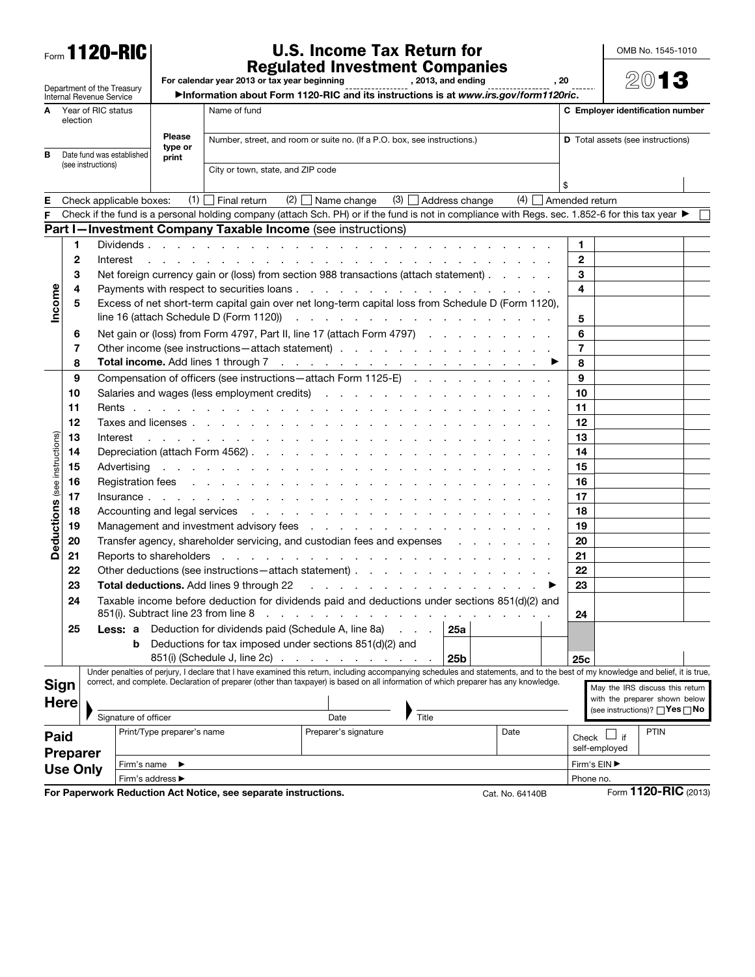## Form 1120-RIC

## U.S. Income Tax Return for **Regulated Investment Companies**<br>For calendar year 2013 or tax year beginning , 2013, and ending , 2013, and ending

OMB No. 1545-1010

|                                                        |                 |                                 |                                                                                                            | RESUIDICU IIIVESUIIEIIL GUIIIPAIIIES<br>For calendar year 2013 or tax year beginning<br>, 2013, and ending<br>. 20 |                                                                                                    |                                                                                                                                                                                                                                                                                                    |       |                      |                 |                |                                   |                                                                           | 2013                            |  |
|--------------------------------------------------------|-----------------|---------------------------------|------------------------------------------------------------------------------------------------------------|--------------------------------------------------------------------------------------------------------------------|----------------------------------------------------------------------------------------------------|----------------------------------------------------------------------------------------------------------------------------------------------------------------------------------------------------------------------------------------------------------------------------------------------------|-------|----------------------|-----------------|----------------|-----------------------------------|---------------------------------------------------------------------------|---------------------------------|--|
| Department of the Treasury<br>Internal Revenue Service |                 |                                 |                                                                                                            |                                                                                                                    |                                                                                                    | >Information about Form 1120-RIC and its instructions is at www.irs.gov/form1120ric.                                                                                                                                                                                                               |       |                      |                 |                |                                   |                                                                           |                                 |  |
| A Year of RIC status<br>election                       |                 |                                 |                                                                                                            |                                                                                                                    | Name of fund                                                                                       |                                                                                                                                                                                                                                                                                                    |       |                      |                 |                | C Employer identification number  |                                                                           |                                 |  |
| Date fund was established<br>в<br>(see instructions)   |                 |                                 | <b>Please</b><br>type or<br>print                                                                          |                                                                                                                    | Number, street, and room or suite no. (If a P.O. box, see instructions.)                           |                                                                                                                                                                                                                                                                                                    |       |                      |                 |                |                                   | <b>D</b> Total assets (see instructions)                                  |                                 |  |
|                                                        |                 |                                 |                                                                                                            | City or town, state, and ZIP code                                                                                  |                                                                                                    |                                                                                                                                                                                                                                                                                                    |       |                      |                 |                |                                   |                                                                           |                                 |  |
| Е<br>Check applicable boxes:                           |                 |                                 |                                                                                                            |                                                                                                                    | $(1)$ Final return                                                                                 | $(2)$ Name change                                                                                                                                                                                                                                                                                  |       | $(3)$ Address change | (4)             | Amended return |                                   |                                                                           |                                 |  |
|                                                        |                 |                                 |                                                                                                            |                                                                                                                    |                                                                                                    | Check if the fund is a personal holding company (attach Sch. PH) or if the fund is not in compliance with Regs. sec. 1.852-6 for this tax year ▶                                                                                                                                                   |       |                      |                 |                |                                   |                                                                           |                                 |  |
|                                                        |                 |                                 |                                                                                                            |                                                                                                                    |                                                                                                    | Part I-Investment Company Taxable Income (see instructions)                                                                                                                                                                                                                                        |       |                      |                 |                |                                   |                                                                           |                                 |  |
|                                                        | 1               |                                 |                                                                                                            | Dividends, , , ,                                                                                                   |                                                                                                    |                                                                                                                                                                                                                                                                                                    |       |                      |                 |                | 1.                                |                                                                           |                                 |  |
|                                                        | $\mathbf{2}$    |                                 | Interest                                                                                                   |                                                                                                                    |                                                                                                    |                                                                                                                                                                                                                                                                                                    |       |                      |                 |                | $\mathbf{2}$                      |                                                                           |                                 |  |
|                                                        | 3               |                                 |                                                                                                            |                                                                                                                    |                                                                                                    | Net foreign currency gain or (loss) from section 988 transactions (attach statement)                                                                                                                                                                                                               |       |                      |                 |                | 3                                 |                                                                           |                                 |  |
|                                                        | 4               |                                 |                                                                                                            |                                                                                                                    |                                                                                                    |                                                                                                                                                                                                                                                                                                    |       |                      |                 |                | 4                                 |                                                                           |                                 |  |
| Income                                                 | 5               |                                 |                                                                                                            |                                                                                                                    |                                                                                                    | Excess of net short-term capital gain over net long-term capital loss from Schedule D (Form 1120),                                                                                                                                                                                                 |       |                      |                 |                |                                   |                                                                           |                                 |  |
|                                                        |                 |                                 |                                                                                                            |                                                                                                                    | line 16 (attach Schedule D (Form 1120))                                                            | and a construction of the construction of the construction                                                                                                                                                                                                                                         |       |                      |                 |                | 5                                 |                                                                           |                                 |  |
|                                                        | 6               |                                 |                                                                                                            |                                                                                                                    |                                                                                                    | Net gain or (loss) from Form 4797, Part II, line 17 (attach Form 4797)                                                                                                                                                                                                                             |       |                      |                 |                | 6                                 |                                                                           |                                 |  |
|                                                        | 7               |                                 |                                                                                                            |                                                                                                                    | Total income. Add lines 1 through 7                                                                | Other income (see instructions - attach statement)                                                                                                                                                                                                                                                 |       |                      |                 |                | $\overline{7}$                    |                                                                           |                                 |  |
|                                                        | 8<br>9          |                                 |                                                                                                            |                                                                                                                    |                                                                                                    | and a series of the contract of the contract of the contract of the contract of the contract of the contract of the contract of the contract of the contract of the contract of the contract of the contract of the contract o<br>Compensation of officers (see instructions - attach Form 1125-E) |       |                      |                 |                | 8<br>9                            |                                                                           |                                 |  |
|                                                        | 10              |                                 |                                                                                                            |                                                                                                                    |                                                                                                    | Salaries and wages (less employment credits)                                                                                                                                                                                                                                                       |       |                      |                 |                | 10                                |                                                                           |                                 |  |
|                                                        | 11              |                                 | Rents.                                                                                                     |                                                                                                                    |                                                                                                    |                                                                                                                                                                                                                                                                                                    |       |                      |                 |                | 11                                |                                                                           |                                 |  |
|                                                        | 12              |                                 |                                                                                                            | Taxes and licenses                                                                                                 |                                                                                                    |                                                                                                                                                                                                                                                                                                    |       |                      |                 |                | 12                                |                                                                           |                                 |  |
|                                                        | 13              |                                 | Interest<br>the contract of the contract of the contract of                                                |                                                                                                                    |                                                                                                    |                                                                                                                                                                                                                                                                                                    |       |                      |                 |                | 13                                |                                                                           |                                 |  |
|                                                        | 14              | Depreciation (attach Form 4562) |                                                                                                            |                                                                                                                    |                                                                                                    |                                                                                                                                                                                                                                                                                                    |       |                      |                 |                | 14                                |                                                                           |                                 |  |
|                                                        | 15              |                                 | Advertising                                                                                                |                                                                                                                    |                                                                                                    | the contract of the contract of the contract of the contract of                                                                                                                                                                                                                                    |       |                      |                 |                | 15                                |                                                                           |                                 |  |
|                                                        | 16              |                                 | Registration fees                                                                                          |                                                                                                                    |                                                                                                    |                                                                                                                                                                                                                                                                                                    |       |                      |                 |                | 16                                |                                                                           |                                 |  |
|                                                        | 17              |                                 |                                                                                                            |                                                                                                                    |                                                                                                    |                                                                                                                                                                                                                                                                                                    |       |                      |                 |                | 17                                |                                                                           |                                 |  |
| Deductions (see instructions)                          | 18              |                                 | Accounting and legal services<br>the contract of the contract of the contract of the contract of           |                                                                                                                    |                                                                                                    |                                                                                                                                                                                                                                                                                                    |       |                      |                 |                | 18                                |                                                                           |                                 |  |
|                                                        | 19              |                                 | Management and investment advisory fees<br>the contract of the contract of the contract of the contract of |                                                                                                                    |                                                                                                    |                                                                                                                                                                                                                                                                                                    |       |                      |                 |                | 19                                |                                                                           |                                 |  |
|                                                        | 20              |                                 |                                                                                                            |                                                                                                                    |                                                                                                    | Transfer agency, shareholder servicing, and custodian fees and expenses                                                                                                                                                                                                                            |       |                      |                 |                | 20                                |                                                                           |                                 |  |
|                                                        | 21              |                                 |                                                                                                            | Reports to shareholders                                                                                            |                                                                                                    | the contract of the contract of the contract of the                                                                                                                                                                                                                                                |       |                      |                 |                | 21                                |                                                                           |                                 |  |
|                                                        | 22              |                                 |                                                                                                            |                                                                                                                    |                                                                                                    | Other deductions (see instructions – attach statement)                                                                                                                                                                                                                                             |       |                      |                 |                | 22                                |                                                                           |                                 |  |
|                                                        | 23              |                                 |                                                                                                            |                                                                                                                    | <b>Total deductions.</b> Add lines 9 through 22<br>and a straightful and a straight and a straight |                                                                                                                                                                                                                                                                                                    |       |                      |                 |                |                                   |                                                                           |                                 |  |
|                                                        | 24              |                                 |                                                                                                            |                                                                                                                    |                                                                                                    | Taxable income before deduction for dividends paid and deductions under sections 851(d)(2) and<br>851(i). Subtract line 23 from line 8                                                                                                                                                             |       |                      |                 |                | 24                                |                                                                           |                                 |  |
|                                                        | 25              |                                 | Less: a                                                                                                    |                                                                                                                    | Deduction for dividends paid (Schedule A, line 8a)                                                 |                                                                                                                                                                                                                                                                                                    |       | 25a                  |                 |                |                                   |                                                                           |                                 |  |
|                                                        |                 |                                 | b                                                                                                          |                                                                                                                    | 851(i) (Schedule J, line 2c).                                                                      | Deductions for tax imposed under sections 851(d)(2) and<br>the contract of the contract of the                                                                                                                                                                                                     |       | 25 <sub>b</sub>      |                 |                | 25c                               |                                                                           |                                 |  |
|                                                        |                 |                                 |                                                                                                            |                                                                                                                    |                                                                                                    | Under penalties of perjury, I declare that I have examined this return, including accompanying schedules and statements, and to the best of my knowledge and belief, it is true                                                                                                                    |       |                      |                 |                |                                   |                                                                           |                                 |  |
|                                                        | Sign            |                                 |                                                                                                            |                                                                                                                    |                                                                                                    | correct, and complete. Declaration of preparer (other than taxpayer) is based on all information of which preparer has any knowledge.                                                                                                                                                              |       |                      |                 |                |                                   |                                                                           | May the IRS discuss this return |  |
| <b>Here</b>                                            |                 |                                 |                                                                                                            |                                                                                                                    |                                                                                                    |                                                                                                                                                                                                                                                                                                    |       |                      |                 |                |                                   | with the preparer shown below<br>(see instructions)? $\Box$ Yes $\Box$ No |                                 |  |
|                                                        |                 | Signature of officer            |                                                                                                            |                                                                                                                    |                                                                                                    | Date                                                                                                                                                                                                                                                                                               | Title |                      |                 |                |                                   |                                                                           |                                 |  |
| Paid                                                   |                 |                                 |                                                                                                            | Print/Type preparer's name                                                                                         |                                                                                                    | Preparer's signature                                                                                                                                                                                                                                                                               |       |                      | Date            |                |                                   | Check $\Box$ if                                                           | <b>PTIN</b>                     |  |
| Preparer                                               |                 |                                 |                                                                                                            |                                                                                                                    |                                                                                                    |                                                                                                                                                                                                                                                                                                    |       |                      |                 |                |                                   | self-employed                                                             |                                 |  |
|                                                        | <b>Use Only</b> |                                 | Firm's name                                                                                                |                                                                                                                    |                                                                                                    |                                                                                                                                                                                                                                                                                                    |       |                      |                 |                |                                   | Firm's EIN ▶                                                              |                                 |  |
|                                                        |                 |                                 |                                                                                                            | Firm's address ▶                                                                                                   |                                                                                                    |                                                                                                                                                                                                                                                                                                    |       |                      |                 |                | Phone no.<br>Form 1120-RIC (2013) |                                                                           |                                 |  |
|                                                        |                 |                                 |                                                                                                            |                                                                                                                    | For Paperwork Reduction Act Notice, see separate instructions.                                     |                                                                                                                                                                                                                                                                                                    |       |                      | Cat. No. 64140B |                |                                   |                                                                           |                                 |  |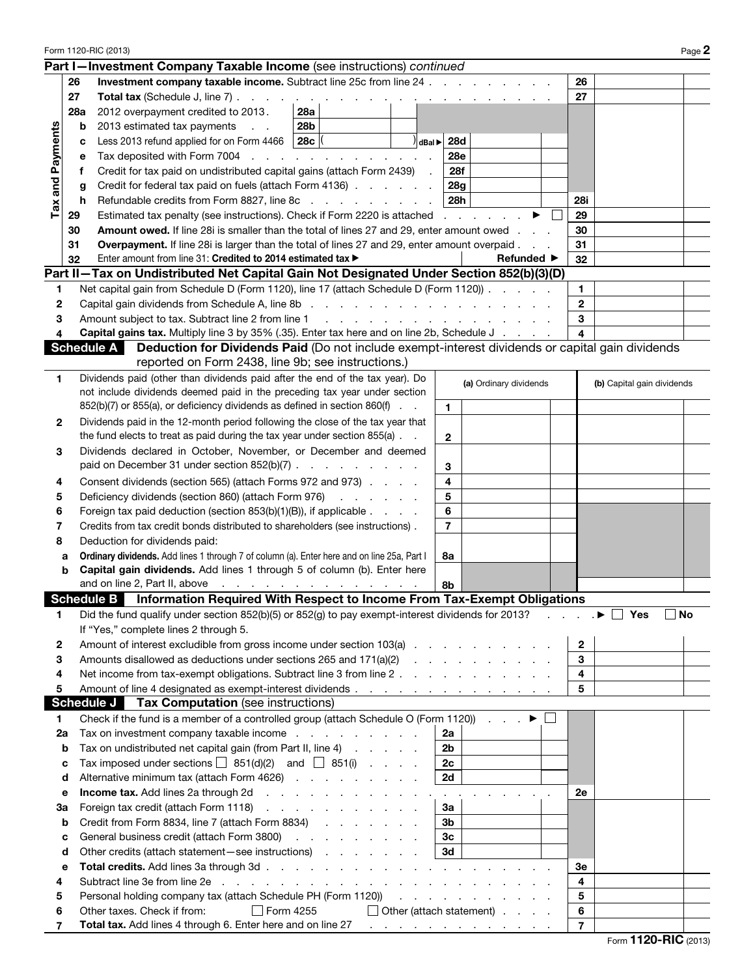| Form 1120-RIC (2013)                                                                          |             |                                                                                                                                                                                                                                |                               |  |  |                |     |                                                           | Page 2       |                |                            |     |
|-----------------------------------------------------------------------------------------------|-------------|--------------------------------------------------------------------------------------------------------------------------------------------------------------------------------------------------------------------------------|-------------------------------|--|--|----------------|-----|-----------------------------------------------------------|--------------|----------------|----------------------------|-----|
|                                                                                               |             | Part I-Investment Company Taxable Income (see instructions) continued                                                                                                                                                          |                               |  |  |                |     |                                                           |              |                |                            |     |
|                                                                                               | 26          | <b>Investment company taxable income.</b> Subtract line 25c from line 24                                                                                                                                                       |                               |  |  |                |     |                                                           |              | 26             |                            |     |
|                                                                                               | 27          | Total tax (Schedule J, line 7).                                                                                                                                                                                                |                               |  |  |                |     |                                                           |              | 27             |                            |     |
|                                                                                               | 28a         | 2012 overpayment credited to 2013.                                                                                                                                                                                             | <b>Contract</b><br><b>28a</b> |  |  |                |     |                                                           |              |                |                            |     |
|                                                                                               | $\mathbf b$ | 2013 estimated tax payments<br>$\sim$ $\sim$                                                                                                                                                                                   | 28b                           |  |  |                |     |                                                           |              |                |                            |     |
| Tax and Payments                                                                              |             | Less 2013 refund applied for on Form 4466                                                                                                                                                                                      | 28c                           |  |  | $  d$ Bal $  $ | 28d |                                                           |              |                |                            |     |
|                                                                                               | с           |                                                                                                                                                                                                                                |                               |  |  |                |     |                                                           |              |                |                            |     |
|                                                                                               | е           | 28e<br>Tax deposited with Form 7004<br>and a state of the state<br>the contract of the contract of                                                                                                                             |                               |  |  |                |     |                                                           |              |                |                            |     |
|                                                                                               | Ť.          | Credit for tax paid on undistributed capital gains (attach Form 2439)<br>28f                                                                                                                                                   |                               |  |  |                |     |                                                           |              |                |                            |     |
|                                                                                               | g           | 28g<br>Credit for federal tax paid on fuels (attach Form 4136)                                                                                                                                                                 |                               |  |  |                |     |                                                           |              | 28i            |                            |     |
|                                                                                               | h           | Refundable credits from Form 8827, line 8c<br>28h                                                                                                                                                                              |                               |  |  |                |     |                                                           |              |                |                            |     |
|                                                                                               | 29          | Estimated tax penalty (see instructions). Check if Form 2220 is attached<br><b>Contract Contract</b>                                                                                                                           |                               |  |  |                |     |                                                           |              |                |                            |     |
|                                                                                               | 30          | <b>Amount owed.</b> If line 28 iis smaller than the total of lines 27 and 29, enter amount owed                                                                                                                                |                               |  |  |                |     |                                                           |              |                |                            |     |
|                                                                                               | 31          | Overpayment. If line 28i is larger than the total of lines 27 and 29, enter amount overpaid.                                                                                                                                   |                               |  |  |                |     |                                                           |              |                |                            |     |
|                                                                                               | 32          | Enter amount from line 31: Credited to 2014 estimated tax ><br><b>Refunded</b> ▶                                                                                                                                               |                               |  |  |                |     |                                                           |              |                |                            |     |
| 32<br>Part II-Tax on Undistributed Net Capital Gain Not Designated Under Section 852(b)(3)(D) |             |                                                                                                                                                                                                                                |                               |  |  |                |     |                                                           |              |                |                            |     |
| 1                                                                                             |             | Net capital gain from Schedule D (Form 1120), line 17 (attach Schedule D (Form 1120))                                                                                                                                          |                               |  |  |                |     |                                                           |              | 1              |                            |     |
| 2                                                                                             |             | Capital gain dividends from Schedule A, line 8b (edge) and contact the contract of the Schedule A, line 8b (edge) and contact the contact of the Capital Schedule A, line 8b (edge) and contact the contact of the Capital Sch |                               |  |  |                |     |                                                           |              | $\mathbf{2}$   |                            |     |
| З                                                                                             |             | Amount subject to tax. Subtract line 2 from line 1                                                                                                                                                                             |                               |  |  |                |     |                                                           |              | 3              |                            |     |
|                                                                                               |             | <b>Capital gains tax.</b> Multiply line 3 by 35% (.35). Enter tax here and on line 2b, Schedule J                                                                                                                              |                               |  |  |                |     | a construction of the construction of the construction of |              | 4              |                            |     |
|                                                                                               |             | <b>Schedule A</b>                                                                                                                                                                                                              |                               |  |  |                |     |                                                           |              |                |                            |     |
|                                                                                               |             | Deduction for Dividends Paid (Do not include exempt-interest dividends or capital gain dividends                                                                                                                               |                               |  |  |                |     |                                                           |              |                |                            |     |
|                                                                                               |             | reported on Form 2438, line 9b; see instructions.)                                                                                                                                                                             |                               |  |  |                |     |                                                           |              |                |                            |     |
| 1                                                                                             |             | Dividends paid (other than dividends paid after the end of the tax year). Do                                                                                                                                                   |                               |  |  |                |     | (a) Ordinary dividends                                    |              |                | (b) Capital gain dividends |     |
|                                                                                               |             | not include dividends deemed paid in the preceding tax year under section                                                                                                                                                      |                               |  |  |                |     |                                                           |              |                |                            |     |
|                                                                                               |             | 852(b)(7) or 855(a), or deficiency dividends as defined in section 860(f)                                                                                                                                                      |                               |  |  |                | 1.  |                                                           |              |                |                            |     |
| 2                                                                                             |             | Dividends paid in the 12-month period following the close of the tax year that                                                                                                                                                 |                               |  |  |                |     |                                                           |              |                |                            |     |
|                                                                                               |             | the fund elects to treat as paid during the tax year under section $855(a)$ .                                                                                                                                                  |                               |  |  | $\mathbf{2}$   |     |                                                           |              |                |                            |     |
| 3                                                                                             |             | Dividends declared in October, November, or December and deemed                                                                                                                                                                |                               |  |  |                |     |                                                           |              |                |                            |     |
|                                                                                               |             | paid on December 31 under section 852(b)(7).<br>the contract of the contract of<br>3                                                                                                                                           |                               |  |  |                |     |                                                           |              |                |                            |     |
|                                                                                               |             |                                                                                                                                                                                                                                |                               |  |  |                |     |                                                           |              |                |                            |     |
| 4                                                                                             |             | 4<br>Consent dividends (section 565) (attach Forms 972 and 973)                                                                                                                                                                |                               |  |  |                |     |                                                           |              |                |                            |     |
| 5                                                                                             |             | 5<br>Deficiency dividends (section 860) (attach Form 976)                                                                                                                                                                      |                               |  |  |                |     |                                                           |              |                |                            |     |
| 6                                                                                             |             | 6<br>Foreign tax paid deduction (section 853(b)(1)(B)), if applicable                                                                                                                                                          |                               |  |  |                |     |                                                           |              |                |                            |     |
| 7                                                                                             |             | $\overline{7}$<br>Credits from tax credit bonds distributed to shareholders (see instructions).                                                                                                                                |                               |  |  |                |     |                                                           |              |                |                            |     |
| 8                                                                                             |             | Deduction for dividends paid:                                                                                                                                                                                                  |                               |  |  |                |     |                                                           |              |                |                            |     |
|                                                                                               | a           | Ordinary dividends. Add lines 1 through 7 of column (a). Enter here and on line 25a, Part I<br>8a                                                                                                                              |                               |  |  |                |     |                                                           |              |                |                            |     |
|                                                                                               | b           | Capital gain dividends. Add lines 1 through 5 of column (b). Enter here                                                                                                                                                        |                               |  |  |                |     |                                                           |              |                |                            |     |
|                                                                                               |             | and on line 2, Part II, above $\cdots$ $\cdots$ $\cdots$ $\cdots$ $\cdots$ $\cdots$                                                                                                                                            |                               |  |  |                | 8b  |                                                           |              |                |                            |     |
|                                                                                               |             | Schedule B Information Required With Respect to Income From Tax-Exempt Obligations                                                                                                                                             |                               |  |  |                |     |                                                           |              |                |                            |     |
| 1                                                                                             |             | Did the fund qualify under section 852(b)(5) or 852(g) to pay exempt-interest dividends for 2013?                                                                                                                              |                               |  |  |                |     |                                                           |              |                | Yes<br>- 1                 | ∣No |
|                                                                                               |             | If "Yes," complete lines 2 through 5.                                                                                                                                                                                          |                               |  |  |                |     |                                                           |              |                |                            |     |
|                                                                                               |             |                                                                                                                                                                                                                                |                               |  |  |                |     |                                                           |              |                |                            |     |
| 2                                                                                             |             | Amount of interest excludible from gross income under section 103(a)                                                                                                                                                           |                               |  |  |                |     |                                                           |              | 2              |                            |     |
| 3                                                                                             |             | Amounts disallowed as deductions under sections 265 and 171(a)(2)<br>the company of the company of                                                                                                                             |                               |  |  |                |     |                                                           |              | 3              |                            |     |
| 4                                                                                             |             | Net income from tax-exempt obligations. Subtract line 3 from line 2.                                                                                                                                                           |                               |  |  |                |     |                                                           |              | 4              |                            |     |
| 5                                                                                             |             |                                                                                                                                                                                                                                |                               |  |  |                |     |                                                           |              | 5              |                            |     |
|                                                                                               |             | <b>Schedule J</b><br>Tax Computation (see instructions)                                                                                                                                                                        |                               |  |  |                |     |                                                           |              |                |                            |     |
| 1                                                                                             |             | Check if the fund is a member of a controlled group (attach Schedule O (Form 1120))                                                                                                                                            |                               |  |  |                |     | ▶                                                         | $\mathbf{L}$ |                |                            |     |
| 2a                                                                                            |             | Tax on investment company taxable income                                                                                                                                                                                       |                               |  |  |                | 2a  |                                                           |              |                |                            |     |
|                                                                                               | b           | Tax on undistributed net capital gain (from Part II, line 4)<br>2b                                                                                                                                                             |                               |  |  |                |     |                                                           |              |                |                            |     |
|                                                                                               | c           | Tax imposed under sections $\Box$ 851(d)(2) and $\Box$ 851(i)<br>2c                                                                                                                                                            |                               |  |  |                |     |                                                           |              |                |                            |     |
|                                                                                               | d           | Alternative minimum tax (attach Form 4626)<br>2d                                                                                                                                                                               |                               |  |  |                |     |                                                           |              |                |                            |     |
|                                                                                               |             |                                                                                                                                                                                                                                |                               |  |  |                |     |                                                           |              |                |                            |     |
|                                                                                               | е           | Income tax. Add lines 2a through 2d<br>and the company of the company of                                                                                                                                                       |                               |  |  |                |     |                                                           |              |                |                            |     |
| За                                                                                            |             | Foreign tax credit (attach Form 1118)<br>За                                                                                                                                                                                    |                               |  |  |                |     |                                                           |              |                |                            |     |
|                                                                                               | b           | Credit from Form 8834, line 7 (attach Form 8834)<br>3b<br>$\mathbf{r} = \mathbf{r} + \mathbf{r}$                                                                                                                               |                               |  |  |                |     |                                                           |              |                |                            |     |
|                                                                                               | c           | General business credit (attach Form 3800)<br>Зc<br>the company of the company                                                                                                                                                 |                               |  |  |                |     |                                                           |              |                |                            |     |
|                                                                                               | d           | Other credits (attach statement-see instructions)<br>3d                                                                                                                                                                        |                               |  |  |                |     |                                                           |              |                |                            |     |
|                                                                                               | е           | <b>Total credits.</b> Add lines 3a through 3d                                                                                                                                                                                  |                               |  |  |                |     |                                                           |              | Зе             |                            |     |
| 4                                                                                             |             | Subtract line 3e from line 2e<br>$\mathbf{r}$<br>$\mathbf{r}$ , and $\mathbf{r}$ , and $\mathbf{r}$ , and $\mathbf{r}$                                                                                                         |                               |  |  |                |     |                                                           |              | 4              |                            |     |
| 5                                                                                             |             | Personal holding company tax (attach Schedule PH (Form 1120))                                                                                                                                                                  |                               |  |  |                |     | the contract of the contract of                           |              | 5              |                            |     |
| 6                                                                                             |             | Form 4255<br>Other taxes. Check if from:                                                                                                                                                                                       |                               |  |  |                |     | $\Box$ Other (attach statement) $\Box$ $\Box$ $\Box$      |              | 6              |                            |     |
| 7                                                                                             |             | Total tax. Add lines 4 through 6. Enter here and on line 27                                                                                                                                                                    |                               |  |  |                |     | and a series of the company of the                        |              | $\overline{7}$ |                            |     |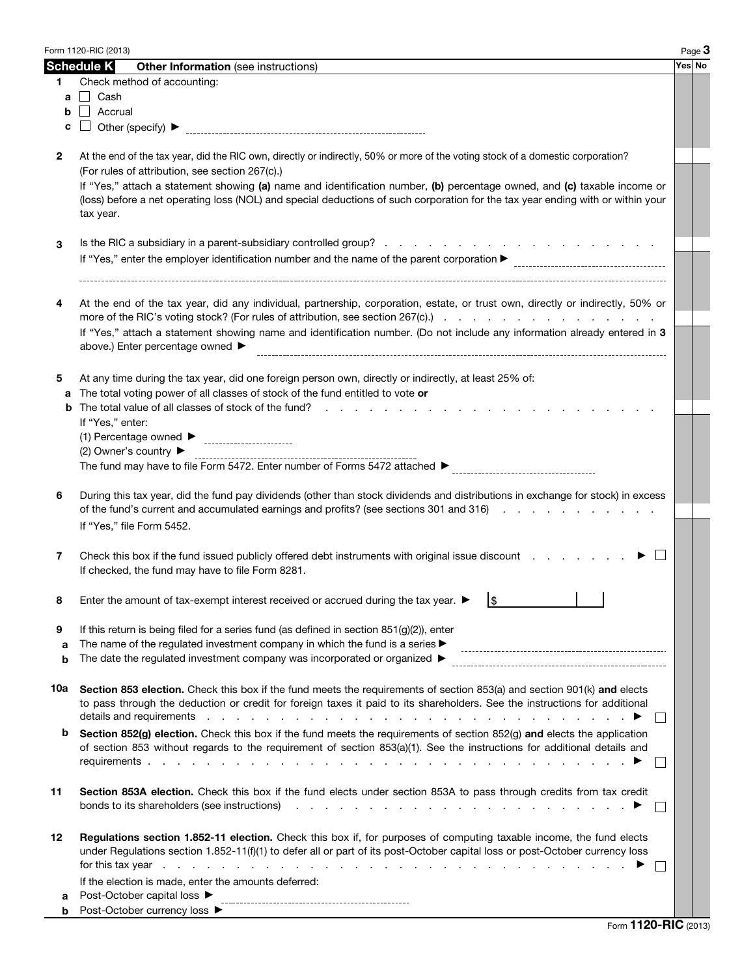|              | Form 1120-RIC (2013)                                                                                                                                                                                                                                                          | Page 3 |  |  |  |  |  |  |  |  |  |
|--------------|-------------------------------------------------------------------------------------------------------------------------------------------------------------------------------------------------------------------------------------------------------------------------------|--------|--|--|--|--|--|--|--|--|--|
|              | <b>Schedule K</b><br><b>Other Information</b> (see instructions)                                                                                                                                                                                                              | Yes No |  |  |  |  |  |  |  |  |  |
| 1            | Check method of accounting:                                                                                                                                                                                                                                                   |        |  |  |  |  |  |  |  |  |  |
|              | $a \Box$ Cash                                                                                                                                                                                                                                                                 |        |  |  |  |  |  |  |  |  |  |
|              | <b>b</b>   Accrual                                                                                                                                                                                                                                                            |        |  |  |  |  |  |  |  |  |  |
| c            |                                                                                                                                                                                                                                                                               |        |  |  |  |  |  |  |  |  |  |
|              |                                                                                                                                                                                                                                                                               |        |  |  |  |  |  |  |  |  |  |
| $\mathbf{2}$ | At the end of the tax year, did the RIC own, directly or indirectly, 50% or more of the voting stock of a domestic corporation?                                                                                                                                               |        |  |  |  |  |  |  |  |  |  |
|              | (For rules of attribution, see section 267(c).)<br>If "Yes," attach a statement showing (a) name and identification number, (b) percentage owned, and (c) taxable income or                                                                                                   |        |  |  |  |  |  |  |  |  |  |
|              | (loss) before a net operating loss (NOL) and special deductions of such corporation for the tax year ending with or within your                                                                                                                                               |        |  |  |  |  |  |  |  |  |  |
|              | tax year.                                                                                                                                                                                                                                                                     |        |  |  |  |  |  |  |  |  |  |
|              |                                                                                                                                                                                                                                                                               |        |  |  |  |  |  |  |  |  |  |
| 3            |                                                                                                                                                                                                                                                                               |        |  |  |  |  |  |  |  |  |  |
|              |                                                                                                                                                                                                                                                                               |        |  |  |  |  |  |  |  |  |  |
|              |                                                                                                                                                                                                                                                                               |        |  |  |  |  |  |  |  |  |  |
|              |                                                                                                                                                                                                                                                                               |        |  |  |  |  |  |  |  |  |  |
| 4            | At the end of the tax year, did any individual, partnership, corporation, estate, or trust own, directly or indirectly, 50% or                                                                                                                                                |        |  |  |  |  |  |  |  |  |  |
|              | more of the RIC's voting stock? (For rules of attribution, see section 267(c).                                                                                                                                                                                                |        |  |  |  |  |  |  |  |  |  |
|              | If "Yes," attach a statement showing name and identification number. (Do not include any information already entered in 3                                                                                                                                                     |        |  |  |  |  |  |  |  |  |  |
|              | above.) Enter percentage owned ▶                                                                                                                                                                                                                                              |        |  |  |  |  |  |  |  |  |  |
|              |                                                                                                                                                                                                                                                                               |        |  |  |  |  |  |  |  |  |  |
| 5            | At any time during the tax year, did one foreign person own, directly or indirectly, at least 25% of:<br>The total voting power of all classes of stock of the fund entitled to vote or                                                                                       |        |  |  |  |  |  |  |  |  |  |
| a            | The total value of all classes of stock of the fund?                                                                                                                                                                                                                          |        |  |  |  |  |  |  |  |  |  |
|              |                                                                                                                                                                                                                                                                               |        |  |  |  |  |  |  |  |  |  |
|              | If "Yes," enter:                                                                                                                                                                                                                                                              |        |  |  |  |  |  |  |  |  |  |
|              | (2) Owner's country $\blacktriangleright$                                                                                                                                                                                                                                     |        |  |  |  |  |  |  |  |  |  |
|              |                                                                                                                                                                                                                                                                               |        |  |  |  |  |  |  |  |  |  |
|              |                                                                                                                                                                                                                                                                               |        |  |  |  |  |  |  |  |  |  |
| 6            | During this tax year, did the fund pay dividends (other than stock dividends and distributions in exchange for stock) in excess                                                                                                                                               |        |  |  |  |  |  |  |  |  |  |
|              | of the fund's current and accumulated earnings and profits? (see sections 301 and 316)                                                                                                                                                                                        |        |  |  |  |  |  |  |  |  |  |
|              | If "Yes," file Form 5452.                                                                                                                                                                                                                                                     |        |  |  |  |  |  |  |  |  |  |
|              |                                                                                                                                                                                                                                                                               |        |  |  |  |  |  |  |  |  |  |
| 7            | Check this box if the fund issued publicly offered debt instruments with original issue discount                                                                                                                                                                              |        |  |  |  |  |  |  |  |  |  |
|              | If checked, the fund may have to file Form 8281.                                                                                                                                                                                                                              |        |  |  |  |  |  |  |  |  |  |
|              | $\frac{1}{2}$                                                                                                                                                                                                                                                                 |        |  |  |  |  |  |  |  |  |  |
| ୪            | Enter the amount of tax-exempt interest received or accrued during the tax year. ▶                                                                                                                                                                                            |        |  |  |  |  |  |  |  |  |  |
| 9            | If this return is being filed for a series fund (as defined in section 851(g)(2)), enter                                                                                                                                                                                      |        |  |  |  |  |  |  |  |  |  |
| a            | The name of the regulated investment company in which the fund is a series $\blacktriangleright$                                                                                                                                                                              |        |  |  |  |  |  |  |  |  |  |
| b            | The date the regulated investment company was incorporated or organized $\blacktriangleright$                                                                                                                                                                                 |        |  |  |  |  |  |  |  |  |  |
|              |                                                                                                                                                                                                                                                                               |        |  |  |  |  |  |  |  |  |  |
| 10a          | Section 853 election. Check this box if the fund meets the requirements of section 853(a) and section 901(k) and elects                                                                                                                                                       |        |  |  |  |  |  |  |  |  |  |
|              | to pass through the deduction or credit for foreign taxes it paid to its shareholders. See the instructions for additional                                                                                                                                                    |        |  |  |  |  |  |  |  |  |  |
|              | details and requirements<br>the contract of the contract of the contract of the contract of<br>$\sim$<br>$\overline{\phantom{0}}$                                                                                                                                             |        |  |  |  |  |  |  |  |  |  |
| b            | Section 852(g) election. Check this box if the fund meets the requirements of section 852(g) and elects the application                                                                                                                                                       |        |  |  |  |  |  |  |  |  |  |
|              | of section 853 without regards to the requirement of section 853(a)(1). See the instructions for additional details and                                                                                                                                                       |        |  |  |  |  |  |  |  |  |  |
|              | $\overline{\phantom{0}}$                                                                                                                                                                                                                                                      |        |  |  |  |  |  |  |  |  |  |
|              |                                                                                                                                                                                                                                                                               |        |  |  |  |  |  |  |  |  |  |
| 11           | Section 853A election. Check this box if the fund elects under section 853A to pass through credits from tax credit                                                                                                                                                           |        |  |  |  |  |  |  |  |  |  |
|              | bonds to its shareholders (see instructions)<br>a construction of the construction of the construction of the construction of the construction of the construction of the construction of the construction of the construction of the construction of the construction of the |        |  |  |  |  |  |  |  |  |  |
| 12           |                                                                                                                                                                                                                                                                               |        |  |  |  |  |  |  |  |  |  |
|              | Regulations section 1.852-11 election. Check this box if, for purposes of computing taxable income, the fund elects<br>under Regulations section 1.852-11(f)(1) to defer all or part of its post-October capital loss or post-October currency loss                           |        |  |  |  |  |  |  |  |  |  |
|              | for this tax year<br>the contract of the contract of the contract of the contract of the contract of the contract of the contract of the contract of the contract of the contract of the contract of the contract of the contract of the contract o                           |        |  |  |  |  |  |  |  |  |  |
|              | If the election is made, enter the amounts deferred:                                                                                                                                                                                                                          |        |  |  |  |  |  |  |  |  |  |
| a            | Post-October capital loss ▶                                                                                                                                                                                                                                                   |        |  |  |  |  |  |  |  |  |  |
| b            | Post-October currency loss ▶                                                                                                                                                                                                                                                  |        |  |  |  |  |  |  |  |  |  |
|              |                                                                                                                                                                                                                                                                               |        |  |  |  |  |  |  |  |  |  |